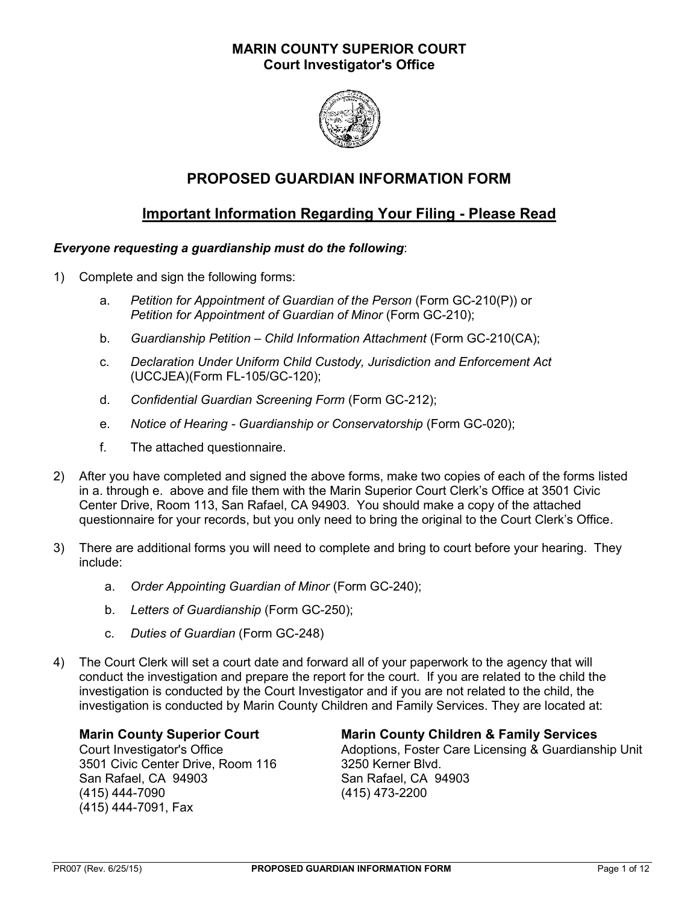## **MARIN COUNTY SUPERIOR COURT Court Investigator's Office**



## **PROPOSED GUARDIAN INFORMATION FORM**

## **Important Information Regarding Your Filing - Please Read**

### *Everyone requesting a guardianship must do the following*:

- 1) Complete and sign the following forms:
	- a. *Petition for Appointment of Guardian of the Person* (Form GC-210(P)) or *Petition for Appointment of Guardian of Minor* (Form GC-210);
	- b. *Guardianship Petition – Child Information Attachment* (Form GC-210(CA);
	- c. *Declaration Under Uniform Child Custody, Jurisdiction and Enforcement Act* (UCCJEA)(Form FL-105/GC-120);
	- d. *Confidential Guardian Screening Form* (Form GC-212);
	- e. *Notice of Hearing - Guardianship or Conservatorship* (Form GC-020);
	- f. The attached questionnaire.
- 2) After you have completed and signed the above forms, make two copies of each of the forms listed in a. through e. above and file them with the Marin Superior Court Clerk's Office at 3501 Civic Center Drive, Room 113, San Rafael, CA 94903. You should make a copy of the attached questionnaire for your records, but you only need to bring the original to the Court Clerk's Office.
- 3) There are additional forms you will need to complete and bring to court before your hearing. They include:
	- a. *Order Appointing Guardian of Minor* (Form GC-240);
	- b. *Letters of Guardianship* (Form GC-250);
	- c. *Duties of Guardian* (Form GC-248)
- 4) The Court Clerk will set a court date and forward all of your paperwork to the agency that will conduct the investigation and prepare the report for the court. If you are related to the child the investigation is conducted by the Court Investigator and if you are not related to the child, the investigation is conducted by Marin County Children and Family Services. They are located at:

3501 Civic Center Drive, Room 116 3250 Kerner Blvd. San Rafael, CA 94903 San Rafael, CA 94903 (415) 444-7090 (415) 473-2200 (415) 444-7091, Fax

#### **Marin County Superior Court Marin County Children & Family Services**

Court Investigator's Office **Adoptions, Foster Care Licensing & Guardianship Unit**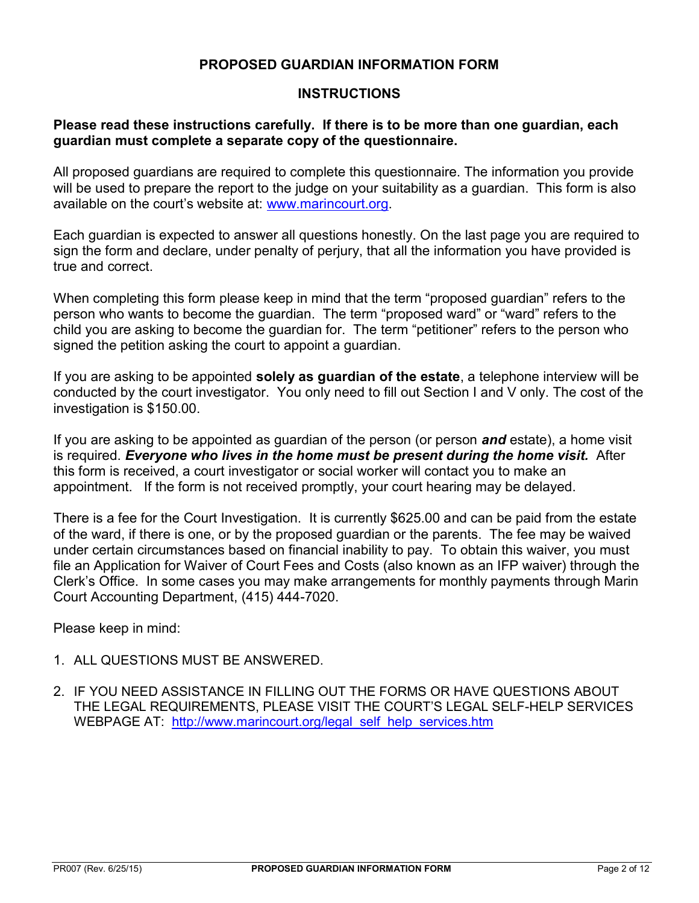## **PROPOSED GUARDIAN INFORMATION FORM**

## **INSTRUCTIONS**

## **Please read these instructions carefully. If there is to be more than one guardian, each guardian must complete a separate copy of the questionnaire.**

All proposed guardians are required to complete this questionnaire. The information you provide will be used to prepare the report to the judge on your suitability as a guardian. This form is also available on the court's website at: [www.marincourt.org.](http://www.marincourt.org/)

Each guardian is expected to answer all questions honestly. On the last page you are required to sign the form and declare, under penalty of perjury, that all the information you have provided is true and correct.

When completing this form please keep in mind that the term "proposed guardian" refers to the person who wants to become the guardian. The term "proposed ward" or "ward" refers to the child you are asking to become the guardian for. The term "petitioner" refers to the person who signed the petition asking the court to appoint a guardian.

If you are asking to be appointed **solely as guardian of the estate**, a telephone interview will be conducted by the court investigator. You only need to fill out Section I and V only. The cost of the investigation is \$150.00.

If you are asking to be appointed as guardian of the person (or person *and* estate), a home visit is required. *Everyone who lives in the home must be present during the home visit.*After this form is received, a court investigator or social worker will contact you to make an appointment. If the form is not received promptly, your court hearing may be delayed.

There is a fee for the Court Investigation. It is currently \$625.00 and can be paid from the estate of the ward, if there is one, or by the proposed guardian or the parents. The fee may be waived under certain circumstances based on financial inability to pay. To obtain this waiver, you must file an Application for Waiver of Court Fees and Costs (also known as an IFP waiver) through the Clerk's Office. In some cases you may make arrangements for monthly payments through Marin Court Accounting Department, (415) 444-7020.

Please keep in mind:

- 1. ALL QUESTIONS MUST BE ANSWERED.
- 2. IF YOU NEED ASSISTANCE IN FILLING OUT THE FORMS OR HAVE QUESTIONS ABOUT THE LEGAL REQUIREMENTS, PLEASE VISIT THE COURT'S LEGAL SELF-HELP SERVICES WEBPAGE AT: [http://www.marincourt.org/legal\\_self\\_help\\_services.htm](http://www.marincourt.org/legal_self_help_services.htm)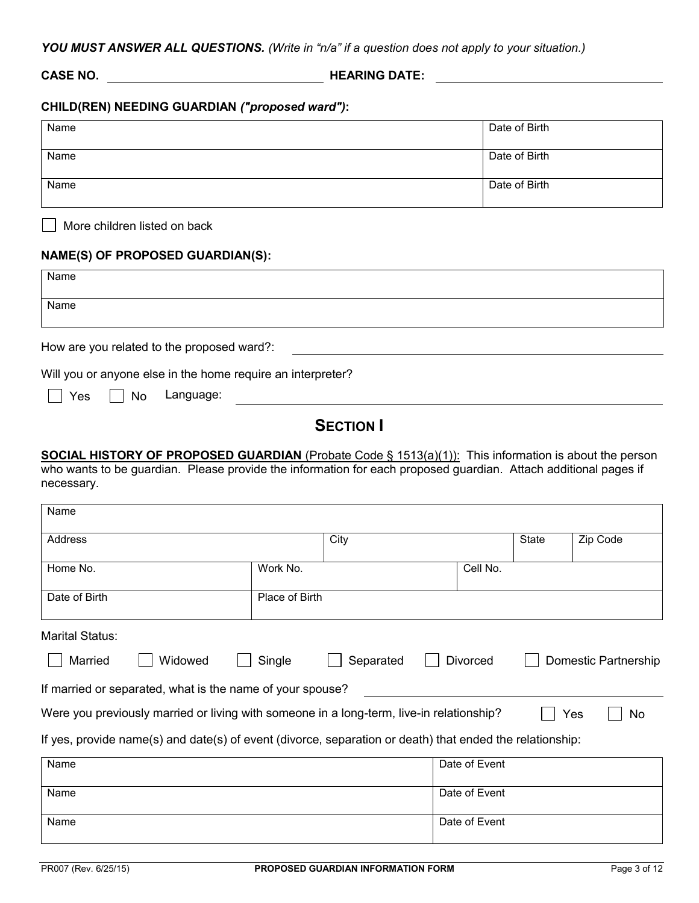*YOU MUST ANSWER ALL QUESTIONS. (Write in "n/a" if a question does not apply to your situation.)*

**CASE NO. HEARING DATE:**

### **CHILD(REN) NEEDING GUARDIAN** *("proposed ward")***:**

| Name | Date of Birth |
|------|---------------|
| Name | Date of Birth |
|      |               |
| Name | Date of Birth |
|      |               |

More children listed on back

#### **NAME(S) OF PROPOSED GUARDIAN(S):**

|                                                                                                           | Name |
|-----------------------------------------------------------------------------------------------------------|------|
|                                                                                                           | Name |
| How are you related to the proposed ward?:<br>Will you or anyone else in the home require an interpreter? |      |
| Language:<br>Yes<br>No<br><b>College</b>                                                                  |      |
| <b>SECTION I</b>                                                                                          |      |

**SOCIAL HISTORY OF PROPOSED GUARDIAN** (Probate Code § 1513(a)(1)): This information is about the person who wants to be guardian. Please provide the information for each proposed guardian. Attach additional pages if necessary.

| Name                                                                                                     |         |                |           |                                         |              |           |
|----------------------------------------------------------------------------------------------------------|---------|----------------|-----------|-----------------------------------------|--------------|-----------|
| Address                                                                                                  |         |                | City      |                                         | <b>State</b> | Zip Code  |
| Home No.                                                                                                 |         | Work No.       |           | Cell No.                                |              |           |
| Date of Birth                                                                                            |         | Place of Birth |           |                                         |              |           |
| Marital Status:                                                                                          |         |                |           |                                         |              |           |
| Married                                                                                                  | Widowed | Single         | Separated | <b>Divorced</b><br>Domestic Partnership |              |           |
| If married or separated, what is the name of your spouse?                                                |         |                |           |                                         |              |           |
| Were you previously married or living with someone in a long-term, live-in relationship?                 |         |                |           |                                         |              | Yes<br>No |
| If yes, provide name(s) and date(s) of event (divorce, separation or death) that ended the relationship: |         |                |           |                                         |              |           |
| Name                                                                                                     |         |                |           | Date of Event                           |              |           |
| Name                                                                                                     |         |                |           | Date of Event                           |              |           |
| Name                                                                                                     |         |                |           | Date of Event                           |              |           |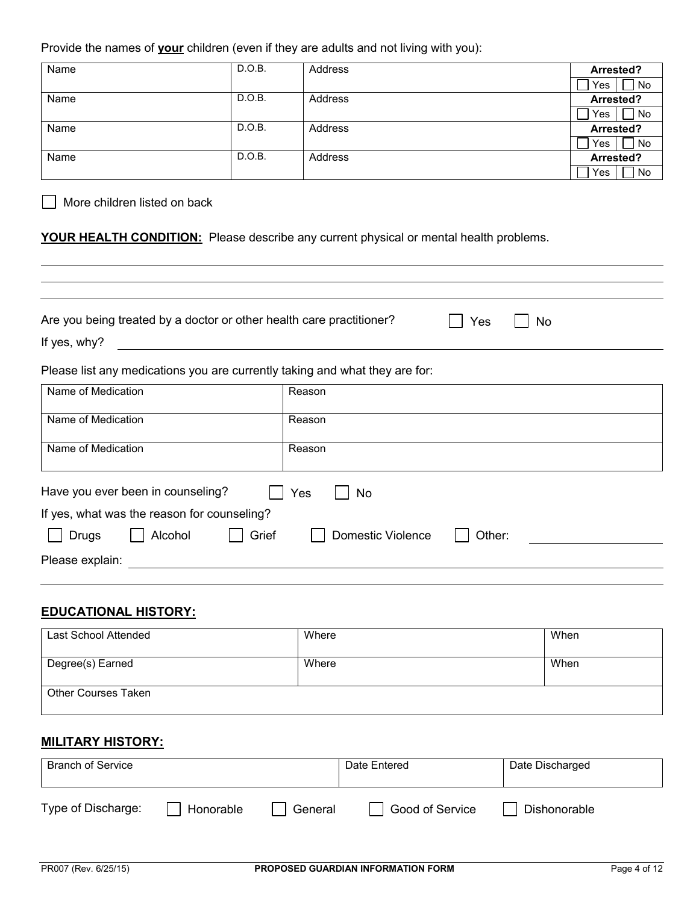Provide the names of **your** children (even if they are adults and not living with you):

| Name | D.O.B. | Address | Arrested? |
|------|--------|---------|-----------|
|      |        |         | No<br>Yes |
| Name | D.O.B. | Address | Arrested? |
|      |        |         | No<br>Yes |
| Name | D.O.B. | Address | Arrested? |
|      |        |         | Yes<br>No |
| Name | D.O.B. | Address | Arrested? |
|      |        |         | No<br>Yes |

More children listed on back

#### **YOUR HEALTH CONDITION:** Please describe any current physical or mental health problems.

| Are you being treated by a doctor or other health care practitioner?<br>If yes, why? | Yes<br>No                          |
|--------------------------------------------------------------------------------------|------------------------------------|
| Please list any medications you are currently taking and what they are for:          |                                    |
| Name of Medication                                                                   | Reason                             |
| Name of Medication                                                                   | Reason                             |
| Name of Medication                                                                   | Reason                             |
| Have you ever been in counseling?<br>If yes, what was the reason for counseling?     | Yes<br>No                          |
| Grief<br>Alcohol<br><b>Drugs</b>                                                     | <b>Domestic Violence</b><br>Other: |
| Please explain:                                                                      |                                    |
|                                                                                      |                                    |

#### **EDUCATIONAL HISTORY:**

| Last School Attended       | Where | When |
|----------------------------|-------|------|
| Degree(s) Earned           | Where | When |
| <b>Other Courses Taken</b> |       |      |

## **MILITARY HISTORY:**

| <b>Branch of Service</b> |           |         | Date Entered    | Date Discharged |  |  |
|--------------------------|-----------|---------|-----------------|-----------------|--|--|
| Type of Discharge:       | Honorable | General | Good of Service | Dishonorable    |  |  |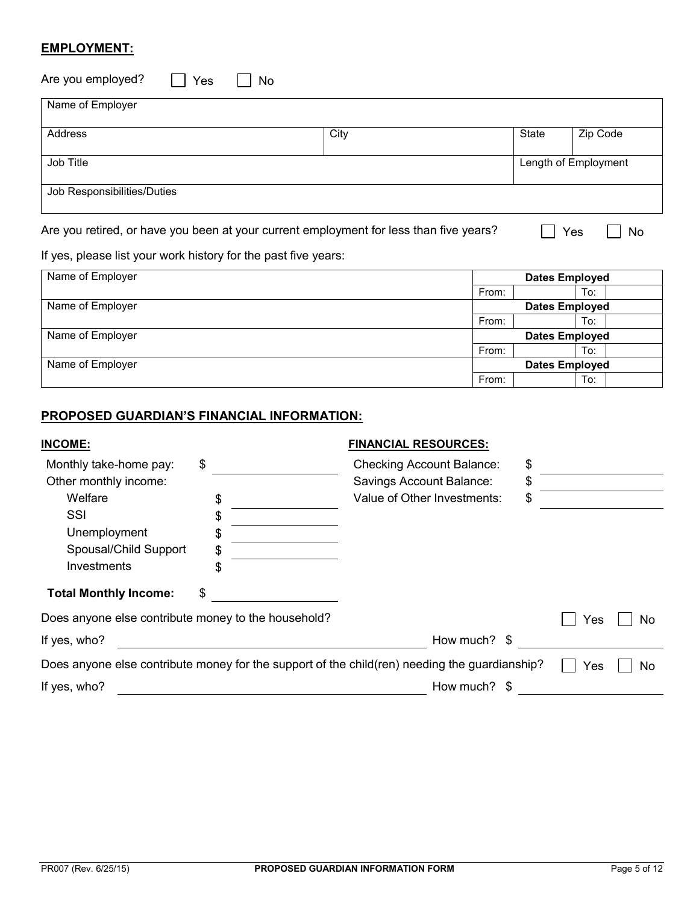## **EMPLOYMENT:**

| Are you employed?<br>Yes    | <b>No</b> |                      |
|-----------------------------|-----------|----------------------|
| Name of Employer            |           |                      |
| Address                     | City      | State<br>Zip Code    |
| Job Title                   |           | Length of Employment |
| Job Responsibilities/Duties |           |                      |

Are you retired, or have you been at your current employment for less than five years?  $\Box$  Yes  $\Box$  No

## If yes, please list your work history for the past five years:

| Name of Employer | <b>Dates Employed</b> |  |     |  |
|------------------|-----------------------|--|-----|--|
|                  | From:                 |  | To: |  |
| Name of Employer | <b>Dates Employed</b> |  |     |  |
|                  | From:                 |  | To: |  |
| Name of Employer | <b>Dates Employed</b> |  |     |  |
|                  | From:                 |  | To: |  |
| Name of Employer | <b>Dates Employed</b> |  |     |  |
|                  | From:                 |  | To: |  |

## **PROPOSED GUARDIAN'S FINANCIAL INFORMATION:**

| <b>INCOME:</b>                                      |    | <b>FINANCIAL RESOURCES:</b>                                                                   |     |           |
|-----------------------------------------------------|----|-----------------------------------------------------------------------------------------------|-----|-----------|
| Monthly take-home pay:                              | \$ | <b>Checking Account Balance:</b>                                                              | \$  |           |
| Other monthly income:                               |    | Savings Account Balance:                                                                      | \$  |           |
| Welfare                                             | \$ | Value of Other Investments:                                                                   | \$  |           |
| SSI                                                 | S  |                                                                                               |     |           |
| Unemployment                                        | S  |                                                                                               |     |           |
| Spousal/Child Support                               | \$ |                                                                                               |     |           |
| Investments                                         | \$ |                                                                                               |     |           |
| <b>Total Monthly Income:</b>                        | \$ |                                                                                               |     |           |
| Does anyone else contribute money to the household? |    |                                                                                               | Yes | No        |
| If yes, who?                                        |    | How much? \$                                                                                  |     |           |
|                                                     |    | Does anyone else contribute money for the support of the child(ren) needing the guardianship? | Yes | <b>No</b> |
| If yes, who?                                        |    | How much? \$                                                                                  |     |           |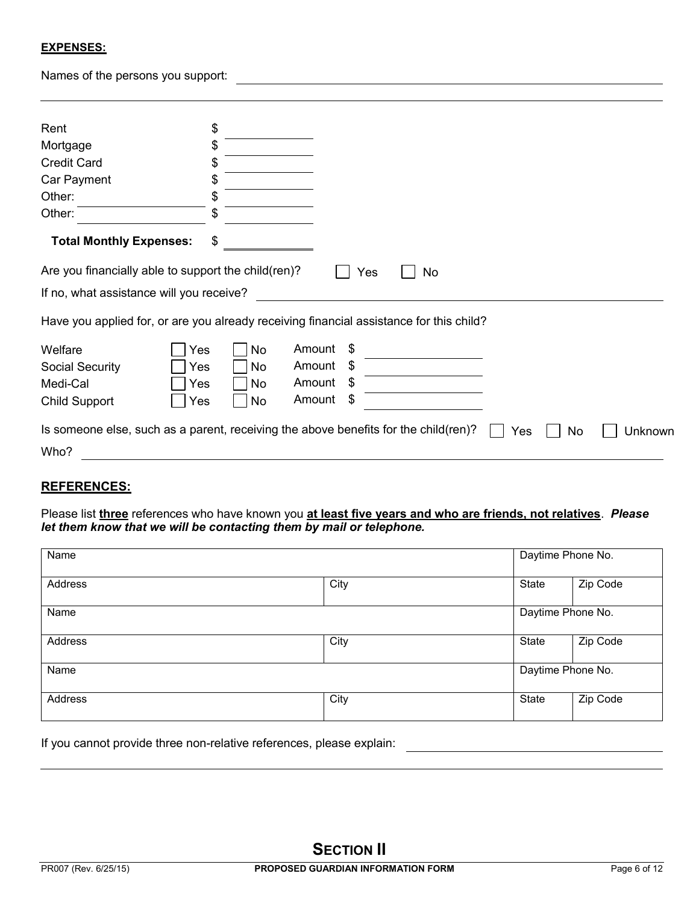#### **EXPENSES:**

Names of the persons you support:

| Rent                                                                                    |     | \$        |        |      |    |     |    |         |
|-----------------------------------------------------------------------------------------|-----|-----------|--------|------|----|-----|----|---------|
| Mortgage                                                                                |     | \$        |        |      |    |     |    |         |
| <b>Credit Card</b>                                                                      |     | \$        |        |      |    |     |    |         |
| Car Payment                                                                             |     | \$        |        |      |    |     |    |         |
| Other:                                                                                  |     | \$        |        |      |    |     |    |         |
| Other:                                                                                  |     | S         |        |      |    |     |    |         |
| <b>Total Monthly Expenses:</b>                                                          |     | \$        |        |      |    |     |    |         |
| Are you financially able to support the child(ren)?                                     |     |           |        | Yes  | No |     |    |         |
| If no, what assistance will you receive?                                                |     |           |        |      |    |     |    |         |
| Have you applied for, or are you already receiving financial assistance for this child? |     |           |        |      |    |     |    |         |
| Welfare                                                                                 | Yes | No.       | Amount | \$   |    |     |    |         |
| Social Security                                                                         | Yes | No        | Amount | - \$ |    |     |    |         |
| Medi-Cal                                                                                | Yes | <b>No</b> | Amount | - \$ |    |     |    |         |
| <b>Child Support</b>                                                                    | Yes | No        | Amount | \$   |    |     |    |         |
| Is someone else, such as a parent, receiving the above benefits for the child(ren)?     |     |           |        |      |    | Yes | No | Unknown |
| Who?                                                                                    |     |           |        |      |    |     |    |         |

<u> 1980 - Johann Barn, mars an t-Amerikaansk politiker (</u>

### **REFERENCES:**

Please list **three** references who have known you **at least five years and who are friends, not relatives**. *Please let them know that we will be contacting them by mail or telephone.*

| Name    |      |                   | Daytime Phone No. |  |  |
|---------|------|-------------------|-------------------|--|--|
| Address | City | State             | Zip Code          |  |  |
| Name    |      |                   | Daytime Phone No. |  |  |
| Address | City | State             | Zip Code          |  |  |
| Name    |      | Daytime Phone No. |                   |  |  |
| Address | City | State             | Zip Code          |  |  |

If you cannot provide three non-relative references, please explain: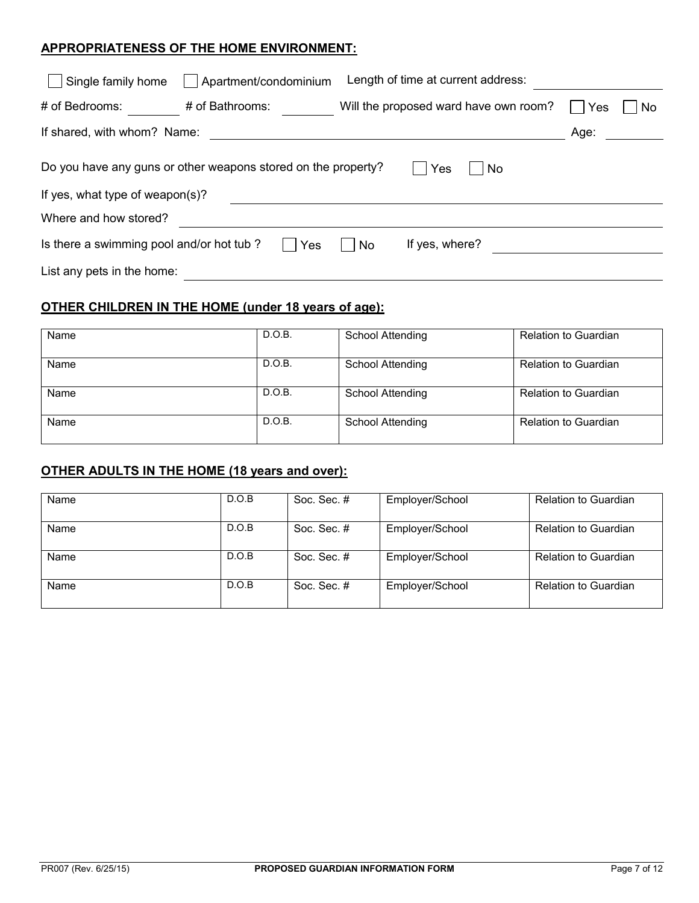## **APPROPRIATENESS OF THE HOME ENVIRONMENT:**

| Single family home                                                                                            | Apartment/condominium |    | Length of time at current address:    |      |    |  |  |
|---------------------------------------------------------------------------------------------------------------|-----------------------|----|---------------------------------------|------|----|--|--|
| # of Bedrooms:                                                                                                | # of Bathrooms:       |    | Will the proposed ward have own room? | Yes  | No |  |  |
| If shared, with whom? Name:                                                                                   |                       |    |                                       | Age: |    |  |  |
| Do you have any guns or other weapons stored on the property?<br>Yes<br>No<br>If yes, what type of weapon(s)? |                       |    |                                       |      |    |  |  |
|                                                                                                               |                       |    |                                       |      |    |  |  |
| Where and how stored?                                                                                         |                       |    |                                       |      |    |  |  |
| Is there a swimming pool and/or hot tub?                                                                      | Yes                   | No | If yes, where?                        |      |    |  |  |
| List any pets in the home:                                                                                    |                       |    |                                       |      |    |  |  |

## **OTHER CHILDREN IN THE HOME (under 18 years of age):**

| Name | D.O.B. | School Attending | <b>Relation to Guardian</b> |
|------|--------|------------------|-----------------------------|
| Name | D.O.B. | School Attending | <b>Relation to Guardian</b> |
| Name | D.O.B. | School Attending | <b>Relation to Guardian</b> |
| Name | D.O.B. | School Attending | <b>Relation to Guardian</b> |

## **OTHER ADULTS IN THE HOME (18 years and over):**

| Name | D.O.B | Soc. Sec. # | Employer/School | <b>Relation to Guardian</b> |
|------|-------|-------------|-----------------|-----------------------------|
| Name | D.O.B | Soc. Sec. # | Employer/School | <b>Relation to Guardian</b> |
| Name | D.O.B | Soc. Sec. # | Employer/School | <b>Relation to Guardian</b> |
| Name | D.O.B | Soc. Sec. # | Employer/School | <b>Relation to Guardian</b> |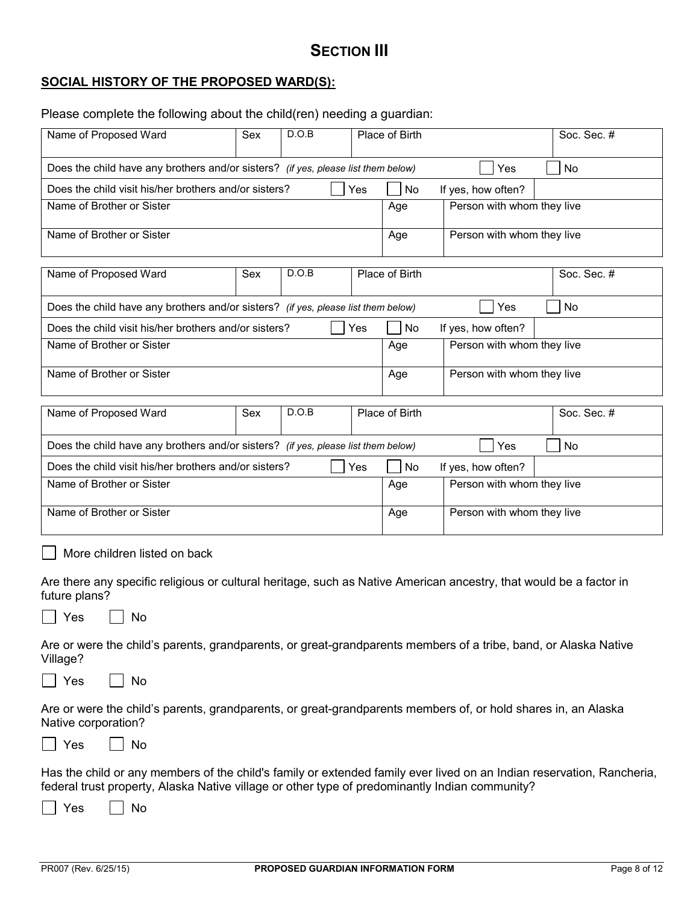# **SECTION III**

## **SOCIAL HISTORY OF THE PROPOSED WARD(S):**

Please complete the following about the child(ren) needing a guardian:

| Name of Proposed Ward                                                                                                                                                                                                                | Sex | D.O.B                      |     | Place of Birth |                            | Soc. Sec. # |  |
|--------------------------------------------------------------------------------------------------------------------------------------------------------------------------------------------------------------------------------------|-----|----------------------------|-----|----------------|----------------------------|-------------|--|
| Does the child have any brothers and/or sisters? (if yes, please list them below)                                                                                                                                                    |     |                            |     |                | Yes                        | No          |  |
| Does the child visit his/her brothers and/or sisters?                                                                                                                                                                                |     |                            | Yes | No             | If yes, how often?         |             |  |
| Name of Brother or Sister                                                                                                                                                                                                            |     |                            |     | Age            | Person with whom they live |             |  |
| Name of Brother or Sister                                                                                                                                                                                                            | Age | Person with whom they live |     |                |                            |             |  |
| D.O.B<br>Name of Proposed Ward<br>Sex                                                                                                                                                                                                |     |                            |     | Place of Birth |                            | Soc. Sec. # |  |
| Does the child have any brothers and/or sisters? (if yes, please list them below)                                                                                                                                                    |     |                            |     |                | Yes                        | No          |  |
| Does the child visit his/her brothers and/or sisters?                                                                                                                                                                                |     |                            | Yes | No             | If yes, how often?         |             |  |
| Name of Brother or Sister                                                                                                                                                                                                            |     |                            |     | Age            | Person with whom they live |             |  |
| Name of Brother or Sister                                                                                                                                                                                                            |     |                            |     | Age            | Person with whom they live |             |  |
| Name of Proposed Ward                                                                                                                                                                                                                | Sex | D.O.B                      |     | Place of Birth |                            | Soc. Sec. # |  |
| Does the child have any brothers and/or sisters? (if yes, please list them below)                                                                                                                                                    |     |                            |     |                | Yes                        | <b>No</b>   |  |
| Does the child visit his/her brothers and/or sisters?                                                                                                                                                                                |     |                            | Yes | No             | If yes, how often?         |             |  |
| Name of Brother or Sister                                                                                                                                                                                                            |     |                            |     | Age            | Person with whom they live |             |  |
| Name of Brother or Sister                                                                                                                                                                                                            |     |                            |     | Age            | Person with whom they live |             |  |
| More children listed on back                                                                                                                                                                                                         |     |                            |     |                |                            |             |  |
| Are there any specific religious or cultural heritage, such as Native American ancestry, that would be a factor in<br>future plans?                                                                                                  |     |                            |     |                |                            |             |  |
| Yes<br>No.                                                                                                                                                                                                                           |     |                            |     |                |                            |             |  |
| Are or were the child's parents, grandparents, or great-grandparents members of a tribe, band, or Alaska Native<br>Village?                                                                                                          |     |                            |     |                |                            |             |  |
| Yes<br>No                                                                                                                                                                                                                            |     |                            |     |                |                            |             |  |
| Are or were the child's parents, grandparents, or great-grandparents members of, or hold shares in, an Alaska<br>Native corporation?                                                                                                 |     |                            |     |                |                            |             |  |
| Yes<br>No                                                                                                                                                                                                                            |     |                            |     |                |                            |             |  |
| Has the child or any members of the child's family or extended family ever lived on an Indian reservation, Rancheria,<br>federal trust property, Alaska Native village or other type of predominantly Indian community?<br>Yes<br>No |     |                            |     |                |                            |             |  |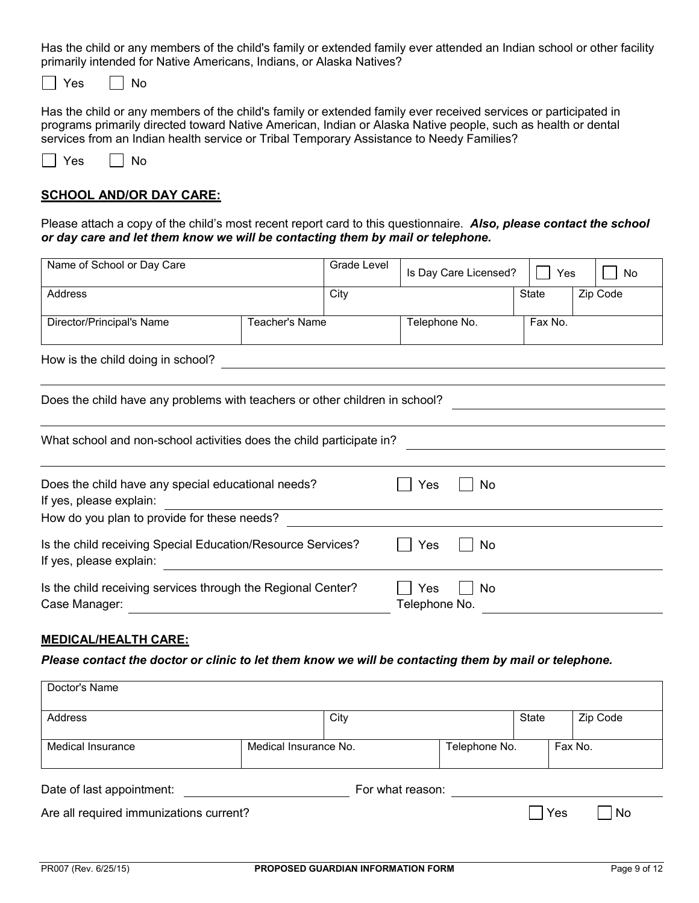Has the child or any members of the child's family or extended family ever attended an Indian school or other facility primarily intended for Native Americans, Indians, or Alaska Natives?

 $\Box$  Yes  $\Box$  No

Has the child or any members of the child's family or extended family ever received services or participated in programs primarily directed toward Native American, Indian or Alaska Native people, such as health or dental services from an Indian health service or Tribal Temporary Assistance to Needy Families?

| es | N٥ |
|----|----|
|----|----|

### **SCHOOL AND/OR DAY CARE:**

Please attach a copy of the child's most recent report card to this questionnaire. *Also, please contact the school or day care and let them know we will be contacting them by mail or telephone.* 

| Name of School or Day Care                                                             |                | Grade Level |                      | Is Day Care Licensed? | Yes     | <b>No</b> |
|----------------------------------------------------------------------------------------|----------------|-------------|----------------------|-----------------------|---------|-----------|
| Address                                                                                |                | City        |                      |                       | State   | Zip Code  |
| Director/Principal's Name                                                              | Teacher's Name |             | Telephone No.        |                       | Fax No. |           |
| How is the child doing in school?                                                      |                |             |                      |                       |         |           |
| Does the child have any problems with teachers or other children in school?            |                |             |                      |                       |         |           |
| What school and non-school activities does the child participate in?                   |                |             |                      |                       |         |           |
| Does the child have any special educational needs?<br>If yes, please explain:          |                | Yes         | No                   |                       |         |           |
| How do you plan to provide for these needs?                                            |                |             |                      |                       |         |           |
| Is the child receiving Special Education/Resource Services?<br>If yes, please explain: |                |             |                      | No                    |         |           |
| Is the child receiving services through the Regional Center?<br>Case Manager:          |                |             | Yes<br>Telephone No. | No.                   |         |           |

#### **MEDICAL/HEALTH CARE:**

*Please contact the doctor or clinic to let them know we will be contacting them by mail or telephone.*

| Doctor's Name                                 |  |                       |  |               |     |          |  |
|-----------------------------------------------|--|-----------------------|--|---------------|-----|----------|--|
| Address                                       |  | City                  |  | State         |     | Zip Code |  |
| Medical Insurance                             |  | Medical Insurance No. |  | Telephone No. |     | Fax No.  |  |
| Date of last appointment:<br>For what reason: |  |                       |  |               |     |          |  |
| Are all required immunizations current?       |  |                       |  |               | Yes | No       |  |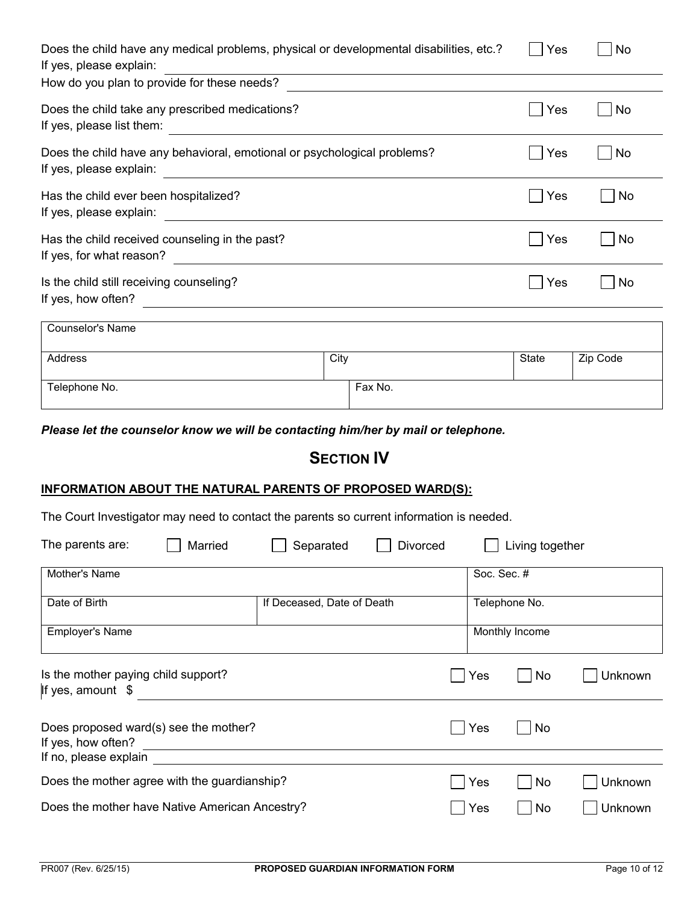| Does the child have any medical problems, physical or developmental disabilities, etc.?<br>If yes, please explain: | Yes  | <b>No</b> |              |           |
|--------------------------------------------------------------------------------------------------------------------|------|-----------|--------------|-----------|
| How do you plan to provide for these needs?                                                                        |      |           |              |           |
| Does the child take any prescribed medications?<br>If yes, please list them:                                       |      |           | Yes          | <b>No</b> |
| Does the child have any behavioral, emotional or psychological problems?<br>If yes, please explain:                |      |           | Yes          | No        |
| Has the child ever been hospitalized?<br>If yes, please explain:                                                   |      |           | Yes          | <b>No</b> |
| Has the child received counseling in the past?<br>If yes, for what reason?                                         |      |           | Yes          | <b>No</b> |
| Is the child still receiving counseling?<br>If yes, how often?                                                     |      |           | Yes          | No        |
| Counselor's Name                                                                                                   |      |           |              |           |
| Address                                                                                                            | City |           | <b>State</b> | Zip Code  |
| Telephone No.                                                                                                      |      | Fax No.   |              |           |

*Please let the counselor know we will be contacting him/her by mail or telephone.*

# **SECTION IV**

#### **INFORMATION ABOUT THE NATURAL PARENTS OF PROPOSED WARD(S):**

The Court Investigator may need to contact the parents so current information is needed.

| The parents are:                                                                     | Married | Separated                  | Divorced |             | Living together |         |
|--------------------------------------------------------------------------------------|---------|----------------------------|----------|-------------|-----------------|---------|
| Mother's Name                                                                        |         |                            |          | Soc. Sec. # |                 |         |
| Date of Birth                                                                        |         | If Deceased, Date of Death |          |             | Telephone No.   |         |
| <b>Employer's Name</b>                                                               |         |                            |          |             | Monthly Income  |         |
| Is the mother paying child support?<br>If yes, amount \$                             |         |                            |          | Yes         | <b>No</b>       | Unknown |
| Does proposed ward(s) see the mother?<br>If yes, how often?<br>If no, please explain |         |                            |          | Yes         | <b>No</b>       |         |
| Does the mother agree with the guardianship?                                         |         |                            |          | Yes         | No              | Unknown |
| Does the mother have Native American Ancestry?                                       |         |                            |          | Yes         | <b>No</b>       | Unknown |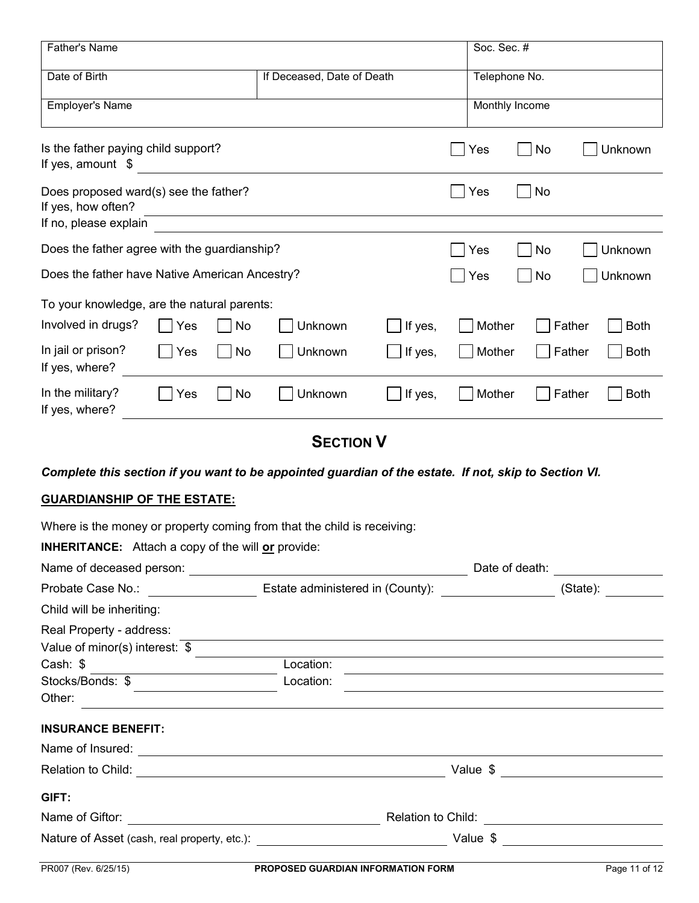| Father's Name                                                                                         |                |                            |         | Soc. Sec. #   |                       |  |
|-------------------------------------------------------------------------------------------------------|----------------|----------------------------|---------|---------------|-----------------------|--|
| Date of Birth                                                                                         |                | If Deceased, Date of Death |         | Telephone No. |                       |  |
| <b>Employer's Name</b>                                                                                | Monthly Income |                            |         |               |                       |  |
| Is the father paying child support?<br>If yes, amount \$                                              |                |                            |         | Yes<br>No     | Unknown               |  |
| Does proposed ward(s) see the father?<br>If yes, how often?<br>If no, please explain                  |                |                            |         | Yes<br>No     |                       |  |
| Does the father agree with the guardianship?                                                          |                |                            |         | No<br>Yes     | Unknown               |  |
| Does the father have Native American Ancestry?<br>Unknown<br>Yes<br>No                                |                |                            |         |               |                       |  |
| To your knowledge, are the natural parents:                                                           |                |                            |         |               |                       |  |
| Involved in drugs?<br>Yes                                                                             | No             | Unknown                    | If yes, | Mother        | Father<br><b>Both</b> |  |
| In jail or prison?<br>Yes<br>If yes, where?                                                           | No             | Unknown                    | If yes, | Mother        | Father<br><b>Both</b> |  |
| In the military?<br>Yes<br>If yes, where?                                                             | No             | Unknown                    | If yes, | Mother        | Father<br><b>Both</b> |  |
|                                                                                                       |                | <b>SECTION V</b>           |         |               |                       |  |
| Complete this section if you want to be appointed guardian of the estate. If not, skip to Section VI. |                |                            |         |               |                       |  |
| <b>GUARDIANSHIP OF THE ESTATE:</b>                                                                    |                |                            |         |               |                       |  |
| Where is the money or property coming from that the child is receiving:                               |                |                            |         |               |                       |  |
| <b>INHERITANCE:</b> Attach a copy of the will or provide:                                             |                |                            |         |               |                       |  |
|                                                                                                       |                |                            |         |               |                       |  |
|                                                                                                       |                |                            |         |               |                       |  |
| Child will be inheriting:                                                                             |                |                            |         |               |                       |  |
| Real Property - address:                                                                              |                |                            |         |               |                       |  |
| Value of minor(s) interest: $$$                                                                       |                |                            |         |               |                       |  |
| Cash: \$                                                                                              |                | Location:                  |         |               |                       |  |
| Stocks/Bonds: \$                                                                                      |                | Location:                  |         |               |                       |  |
| Other:                                                                                                |                |                            |         |               |                       |  |
| <b>INSURANCE BENEFIT:</b>                                                                             |                |                            |         |               |                       |  |
|                                                                                                       |                |                            |         |               |                       |  |
|                                                                                                       |                |                            |         |               |                       |  |
| GIFT:                                                                                                 |                |                            |         |               |                       |  |
|                                                                                                       |                |                            |         |               |                       |  |
|                                                                                                       |                |                            |         |               |                       |  |